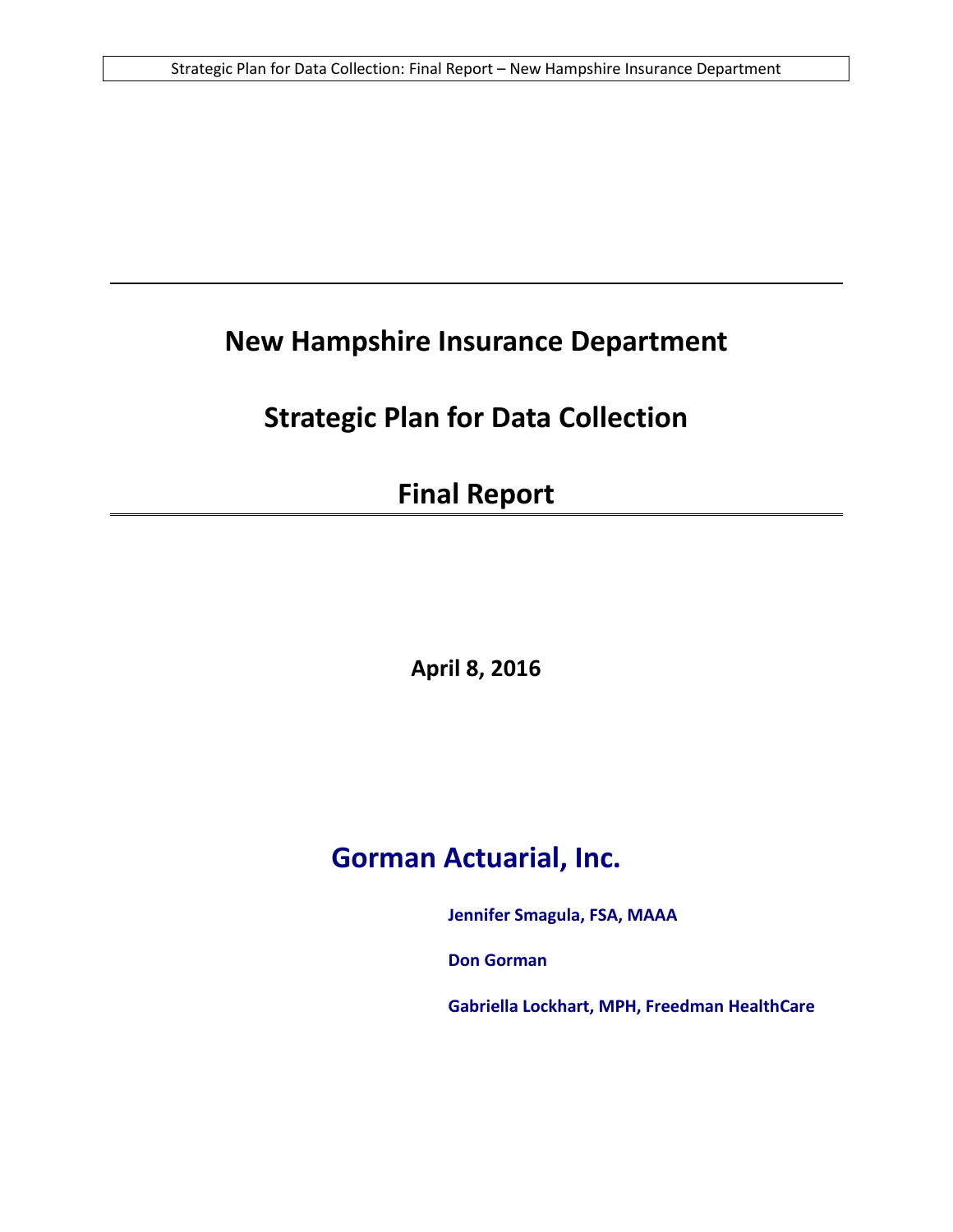# **New Hampshire Insurance Department**

# **Strategic Plan for Data Collection**

# **Final Report**

**April 8, 2016**

# **Gorman Actuarial, Inc.**

**Jennifer Smagula, FSA, MAAA**

**Don Gorman**

**Gabriella Lockhart, MPH, Freedman HealthCare**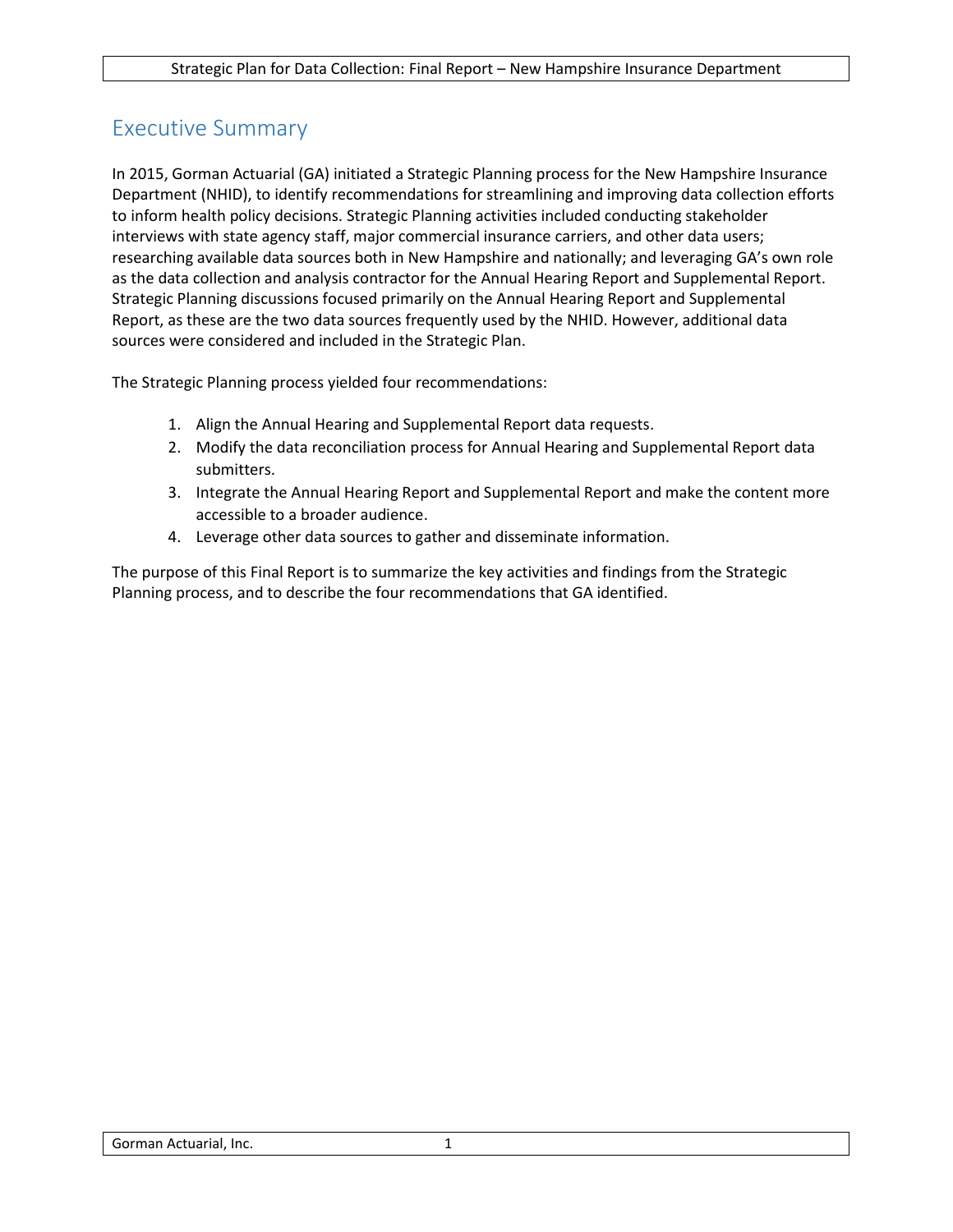### Executive Summary

In 2015, Gorman Actuarial (GA) initiated a Strategic Planning process for the New Hampshire Insurance Department (NHID), to identify recommendations for streamlining and improving data collection efforts to inform health policy decisions. Strategic Planning activities included conducting stakeholder interviews with state agency staff, major commercial insurance carriers, and other data users; researching available data sources both in New Hampshire and nationally; and leveraging GA's own role as the data collection and analysis contractor for the Annual Hearing Report and Supplemental Report. Strategic Planning discussions focused primarily on the Annual Hearing Report and Supplemental Report, as these are the two data sources frequently used by the NHID. However, additional data sources were considered and included in the Strategic Plan.

The Strategic Planning process yielded four recommendations:

- 1. Align the Annual Hearing and Supplemental Report data requests.
- 2. Modify the data reconciliation process for Annual Hearing and Supplemental Report data submitters.
- 3. Integrate the Annual Hearing Report and Supplemental Report and make the content more accessible to a broader audience.
- 4. Leverage other data sources to gather and disseminate information.

The purpose of this Final Report is to summarize the key activities and findings from the Strategic Planning process, and to describe the four recommendations that GA identified.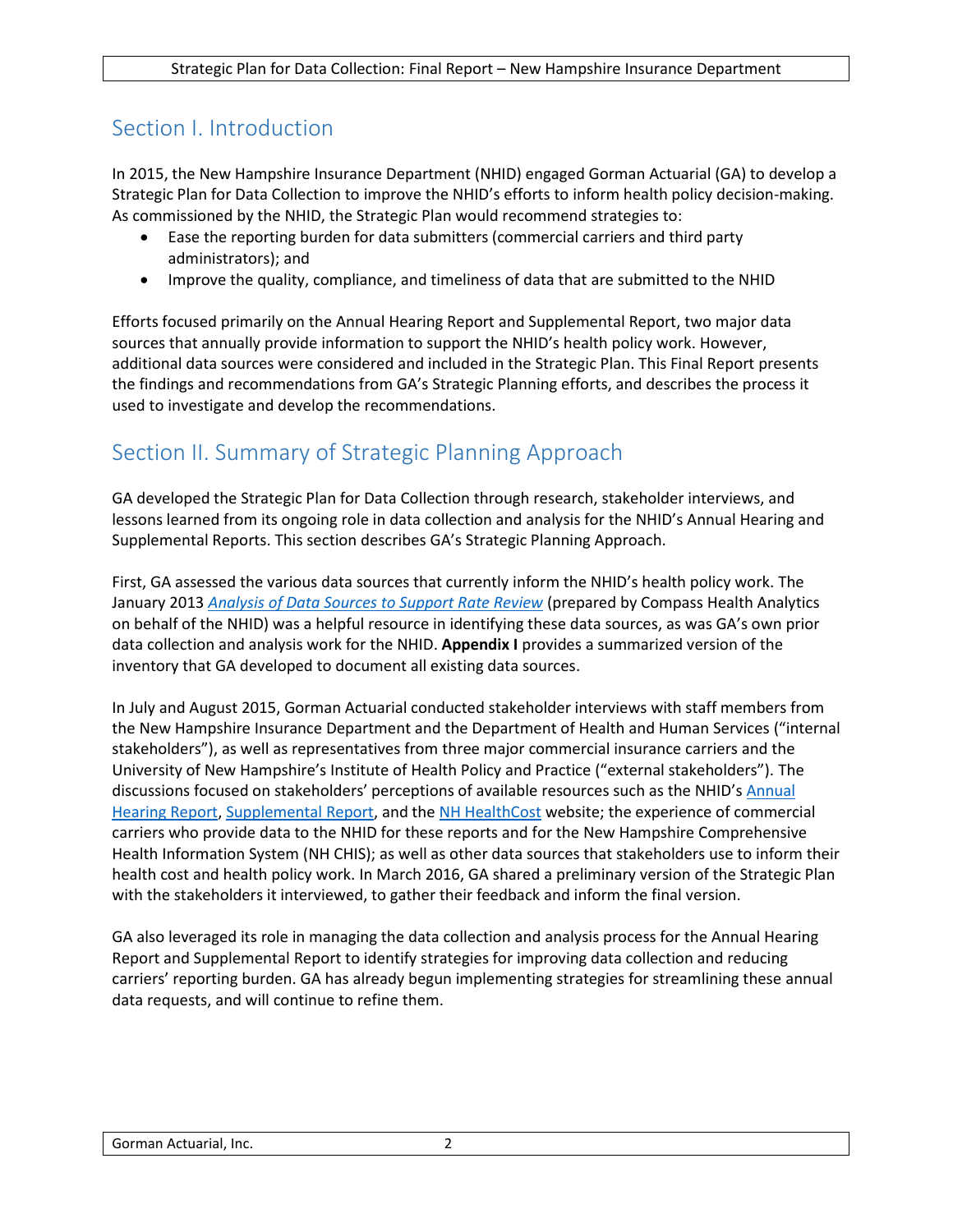## Section I. Introduction

In 2015, the New Hampshire Insurance Department (NHID) engaged Gorman Actuarial (GA) to develop a Strategic Plan for Data Collection to improve the NHID's efforts to inform health policy decision-making. As commissioned by the NHID, the Strategic Plan would recommend strategies to:

- Ease the reporting burden for data submitters (commercial carriers and third party administrators); and
- Improve the quality, compliance, and timeliness of data that are submitted to the NHID

Efforts focused primarily on the Annual Hearing Report and Supplemental Report, two major data sources that annually provide information to support the NHID's health policy work. However, additional data sources were considered and included in the Strategic Plan. This Final Report presents the findings and recommendations from GA's Strategic Planning efforts, and describes the process it used to investigate and develop the recommendations.

## Section II. Summary of Strategic Planning Approach

GA developed the Strategic Plan for Data Collection through research, stakeholder interviews, and lessons learned from its ongoing role in data collection and analysis for the NHID's Annual Hearing and Supplemental Reports. This section describes GA's Strategic Planning Approach.

First, GA assessed the various data sources that currently inform the NHID's health policy work. The January 2013 *[Analysis of Data Sources to Support Rate Review](http://www.nh.gov/insurance/reports/documents/compass-haofda.pdf)* (prepared by Compass Health Analytics on behalf of the NHID) was a helpful resource in identifying these data sources, as was GA's own prior data collection and analysis work for the NHID. **Appendix I** provides a summarized version of the inventory that GA developed to document all existing data sources.

In July and August 2015, Gorman Actuarial conducted stakeholder interviews with staff members from the New Hampshire Insurance Department and the Department of Health and Human Services ("internal stakeholders"), as well as representatives from three major commercial insurance carriers and the University of New Hampshire's Institute of Health Policy and Practice ("external stakeholders"). The discussions focused on stakeholders' perceptions of available resources such as the NHID's [Annual](http://www.nh.gov/insurance/reports/documents/gorman_rpt_2014.pdf)  [Hearing Report,](http://www.nh.gov/insurance/reports/documents/gorman_rpt_2014.pdf) [Supplemental Report,](http://www.nh.gov/insurance/lah/documents/2013_nhid_suprpt.pdf) and the [NH HealthCost](http://nhhealthcost.nh.gov/) website; the experience of commercial carriers who provide data to the NHID for these reports and for the New Hampshire Comprehensive Health Information System (NH CHIS); as well as other data sources that stakeholders use to inform their health cost and health policy work. In March 2016, GA shared a preliminary version of the Strategic Plan with the stakeholders it interviewed, to gather their feedback and inform the final version.

GA also leveraged its role in managing the data collection and analysis process for the Annual Hearing Report and Supplemental Report to identify strategies for improving data collection and reducing carriers' reporting burden. GA has already begun implementing strategies for streamlining these annual data requests, and will continue to refine them.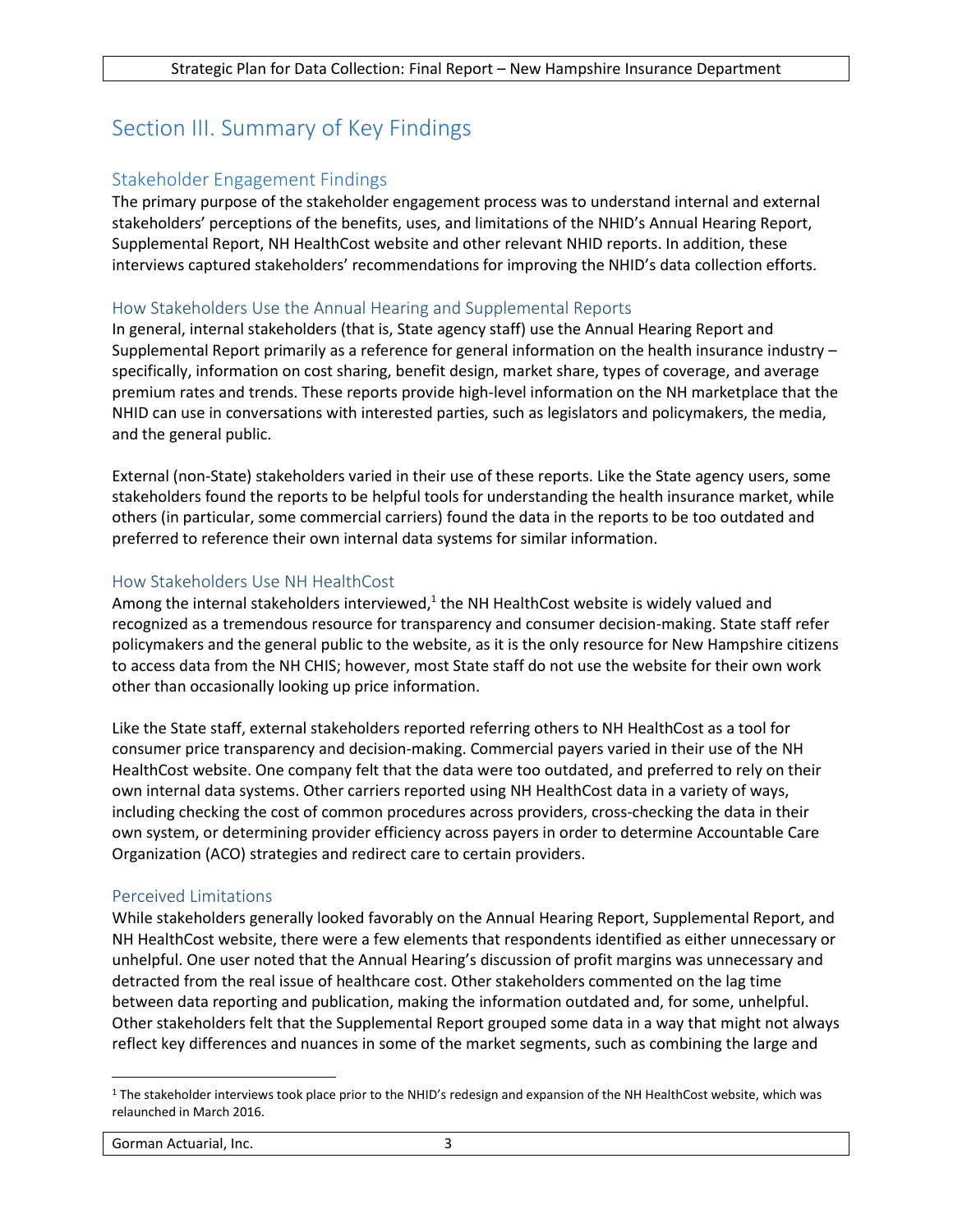### Section III. Summary of Key Findings

#### Stakeholder Engagement Findings

The primary purpose of the stakeholder engagement process was to understand internal and external stakeholders' perceptions of the benefits, uses, and limitations of the NHID's Annual Hearing Report, Supplemental Report, NH HealthCost website and other relevant NHID reports. In addition, these interviews captured stakeholders' recommendations for improving the NHID's data collection efforts.

#### How Stakeholders Use the Annual Hearing and Supplemental Reports

In general, internal stakeholders (that is, State agency staff) use the Annual Hearing Report and Supplemental Report primarily as a reference for general information on the health insurance industry – specifically, information on cost sharing, benefit design, market share, types of coverage, and average premium rates and trends. These reports provide high-level information on the NH marketplace that the NHID can use in conversations with interested parties, such as legislators and policymakers, the media, and the general public.

External (non-State) stakeholders varied in their use of these reports. Like the State agency users, some stakeholders found the reports to be helpful tools for understanding the health insurance market, while others (in particular, some commercial carriers) found the data in the reports to be too outdated and preferred to reference their own internal data systems for similar information.

#### How Stakeholders Use NH HealthCost

Among the internal stakeholders interviewed,<sup>1</sup> the NH HealthCost website is widely valued and recognized as a tremendous resource for transparency and consumer decision-making. State staff refer policymakers and the general public to the website, as it is the only resource for New Hampshire citizens to access data from the NH CHIS; however, most State staff do not use the website for their own work other than occasionally looking up price information.

Like the State staff, external stakeholders reported referring others to NH HealthCost as a tool for consumer price transparency and decision-making. Commercial payers varied in their use of the NH HealthCost website. One company felt that the data were too outdated, and preferred to rely on their own internal data systems. Other carriers reported using NH HealthCost data in a variety of ways, including checking the cost of common procedures across providers, cross-checking the data in their own system, or determining provider efficiency across payers in order to determine Accountable Care Organization (ACO) strategies and redirect care to certain providers.

#### Perceived Limitations

While stakeholders generally looked favorably on the Annual Hearing Report, Supplemental Report, and NH HealthCost website, there were a few elements that respondents identified as either unnecessary or unhelpful. One user noted that the Annual Hearing's discussion of profit margins was unnecessary and detracted from the real issue of healthcare cost. Other stakeholders commented on the lag time between data reporting and publication, making the information outdated and, for some, unhelpful. Other stakeholders felt that the Supplemental Report grouped some data in a way that might not always reflect key differences and nuances in some of the market segments, such as combining the large and

 $\overline{\phantom{a}}$ 

<sup>1</sup> The stakeholder interviews took place prior to the NHID's redesign and expansion of the NH HealthCost website, which was relaunched in March 2016.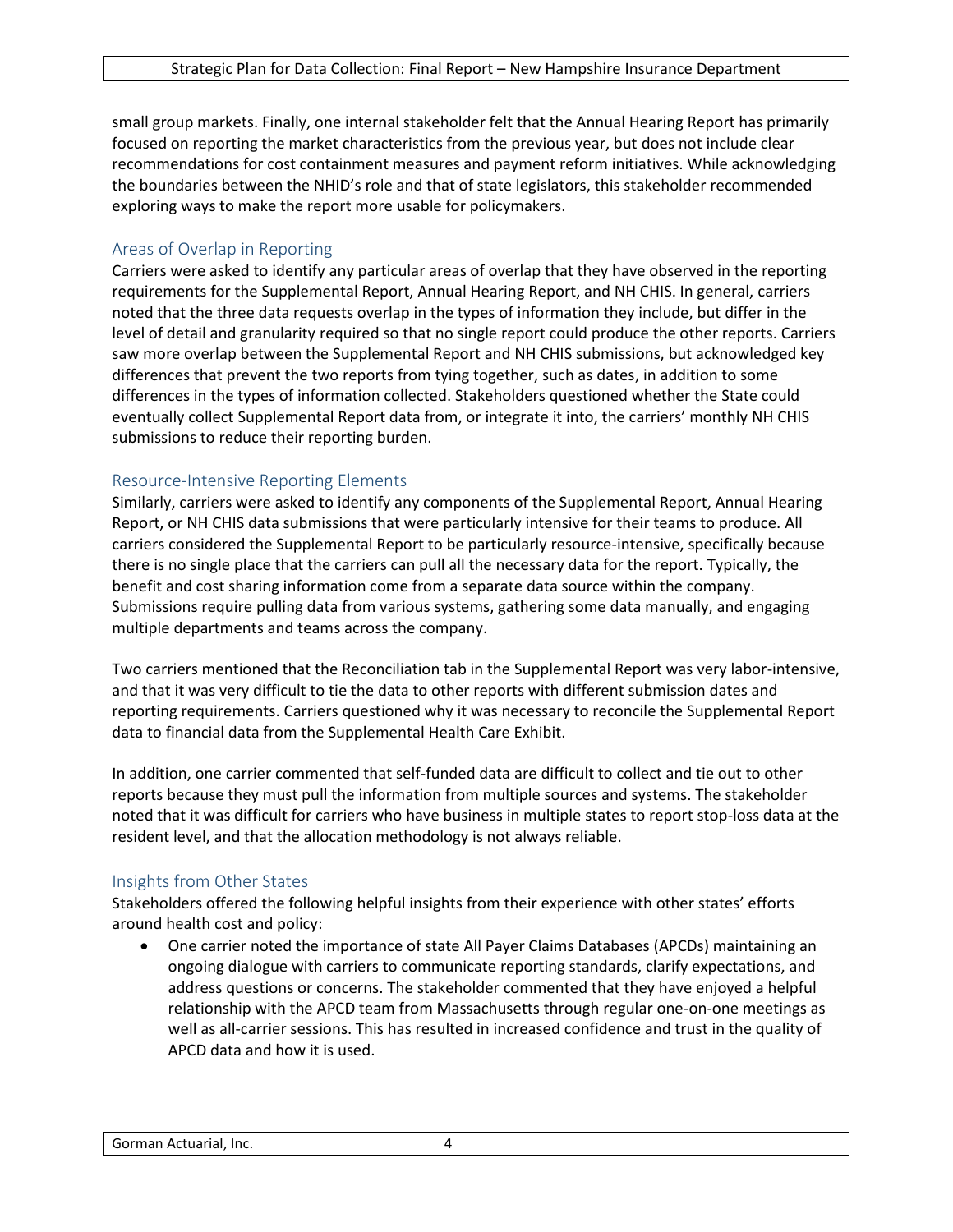small group markets. Finally, one internal stakeholder felt that the Annual Hearing Report has primarily focused on reporting the market characteristics from the previous year, but does not include clear recommendations for cost containment measures and payment reform initiatives. While acknowledging the boundaries between the NHID's role and that of state legislators, this stakeholder recommended exploring ways to make the report more usable for policymakers.

#### Areas of Overlap in Reporting

Carriers were asked to identify any particular areas of overlap that they have observed in the reporting requirements for the Supplemental Report, Annual Hearing Report, and NH CHIS. In general, carriers noted that the three data requests overlap in the types of information they include, but differ in the level of detail and granularity required so that no single report could produce the other reports. Carriers saw more overlap between the Supplemental Report and NH CHIS submissions, but acknowledged key differences that prevent the two reports from tying together, such as dates, in addition to some differences in the types of information collected. Stakeholders questioned whether the State could eventually collect Supplemental Report data from, or integrate it into, the carriers' monthly NH CHIS submissions to reduce their reporting burden.

#### Resource-Intensive Reporting Elements

Similarly, carriers were asked to identify any components of the Supplemental Report, Annual Hearing Report, or NH CHIS data submissions that were particularly intensive for their teams to produce. All carriers considered the Supplemental Report to be particularly resource-intensive, specifically because there is no single place that the carriers can pull all the necessary data for the report. Typically, the benefit and cost sharing information come from a separate data source within the company. Submissions require pulling data from various systems, gathering some data manually, and engaging multiple departments and teams across the company.

Two carriers mentioned that the Reconciliation tab in the Supplemental Report was very labor-intensive, and that it was very difficult to tie the data to other reports with different submission dates and reporting requirements. Carriers questioned why it was necessary to reconcile the Supplemental Report data to financial data from the Supplemental Health Care Exhibit.

In addition, one carrier commented that self-funded data are difficult to collect and tie out to other reports because they must pull the information from multiple sources and systems. The stakeholder noted that it was difficult for carriers who have business in multiple states to report stop-loss data at the resident level, and that the allocation methodology is not always reliable.

#### Insights from Other States

Stakeholders offered the following helpful insights from their experience with other states' efforts around health cost and policy:

 One carrier noted the importance of state All Payer Claims Databases (APCDs) maintaining an ongoing dialogue with carriers to communicate reporting standards, clarify expectations, and address questions or concerns. The stakeholder commented that they have enjoyed a helpful relationship with the APCD team from Massachusetts through regular one-on-one meetings as well as all-carrier sessions. This has resulted in increased confidence and trust in the quality of APCD data and how it is used.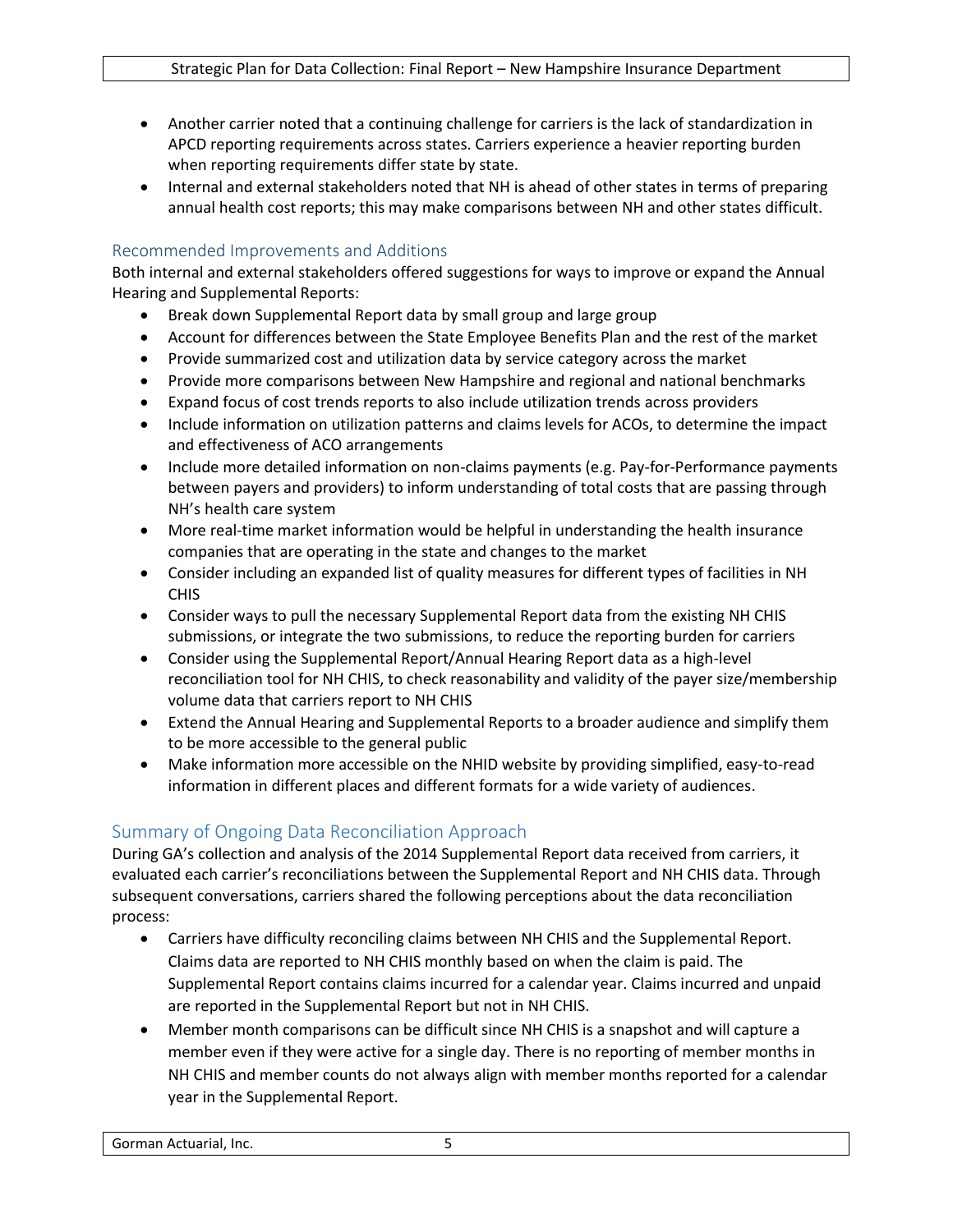- Another carrier noted that a continuing challenge for carriers is the lack of standardization in APCD reporting requirements across states. Carriers experience a heavier reporting burden when reporting requirements differ state by state.
- Internal and external stakeholders noted that NH is ahead of other states in terms of preparing annual health cost reports; this may make comparisons between NH and other states difficult.

#### Recommended Improvements and Additions

Both internal and external stakeholders offered suggestions for ways to improve or expand the Annual Hearing and Supplemental Reports:

- Break down Supplemental Report data by small group and large group
- Account for differences between the State Employee Benefits Plan and the rest of the market
- Provide summarized cost and utilization data by service category across the market
- Provide more comparisons between New Hampshire and regional and national benchmarks
- Expand focus of cost trends reports to also include utilization trends across providers
- Include information on utilization patterns and claims levels for ACOs, to determine the impact and effectiveness of ACO arrangements
- Include more detailed information on non-claims payments (e.g. Pay-for-Performance payments between payers and providers) to inform understanding of total costs that are passing through NH's health care system
- More real-time market information would be helpful in understanding the health insurance companies that are operating in the state and changes to the market
- Consider including an expanded list of quality measures for different types of facilities in NH CHIS
- Consider ways to pull the necessary Supplemental Report data from the existing NH CHIS submissions, or integrate the two submissions, to reduce the reporting burden for carriers
- Consider using the Supplemental Report/Annual Hearing Report data as a high-level reconciliation tool for NH CHIS, to check reasonability and validity of the payer size/membership volume data that carriers report to NH CHIS
- Extend the Annual Hearing and Supplemental Reports to a broader audience and simplify them to be more accessible to the general public
- Make information more accessible on the NHID website by providing simplified, easy-to-read information in different places and different formats for a wide variety of audiences.

### Summary of Ongoing Data Reconciliation Approach

During GA's collection and analysis of the 2014 Supplemental Report data received from carriers, it evaluated each carrier's reconciliations between the Supplemental Report and NH CHIS data. Through subsequent conversations, carriers shared the following perceptions about the data reconciliation process:

- Carriers have difficulty reconciling claims between NH CHIS and the Supplemental Report. Claims data are reported to NH CHIS monthly based on when the claim is paid. The Supplemental Report contains claims incurred for a calendar year. Claims incurred and unpaid are reported in the Supplemental Report but not in NH CHIS.
- Member month comparisons can be difficult since NH CHIS is a snapshot and will capture a member even if they were active for a single day. There is no reporting of member months in NH CHIS and member counts do not always align with member months reported for a calendar year in the Supplemental Report.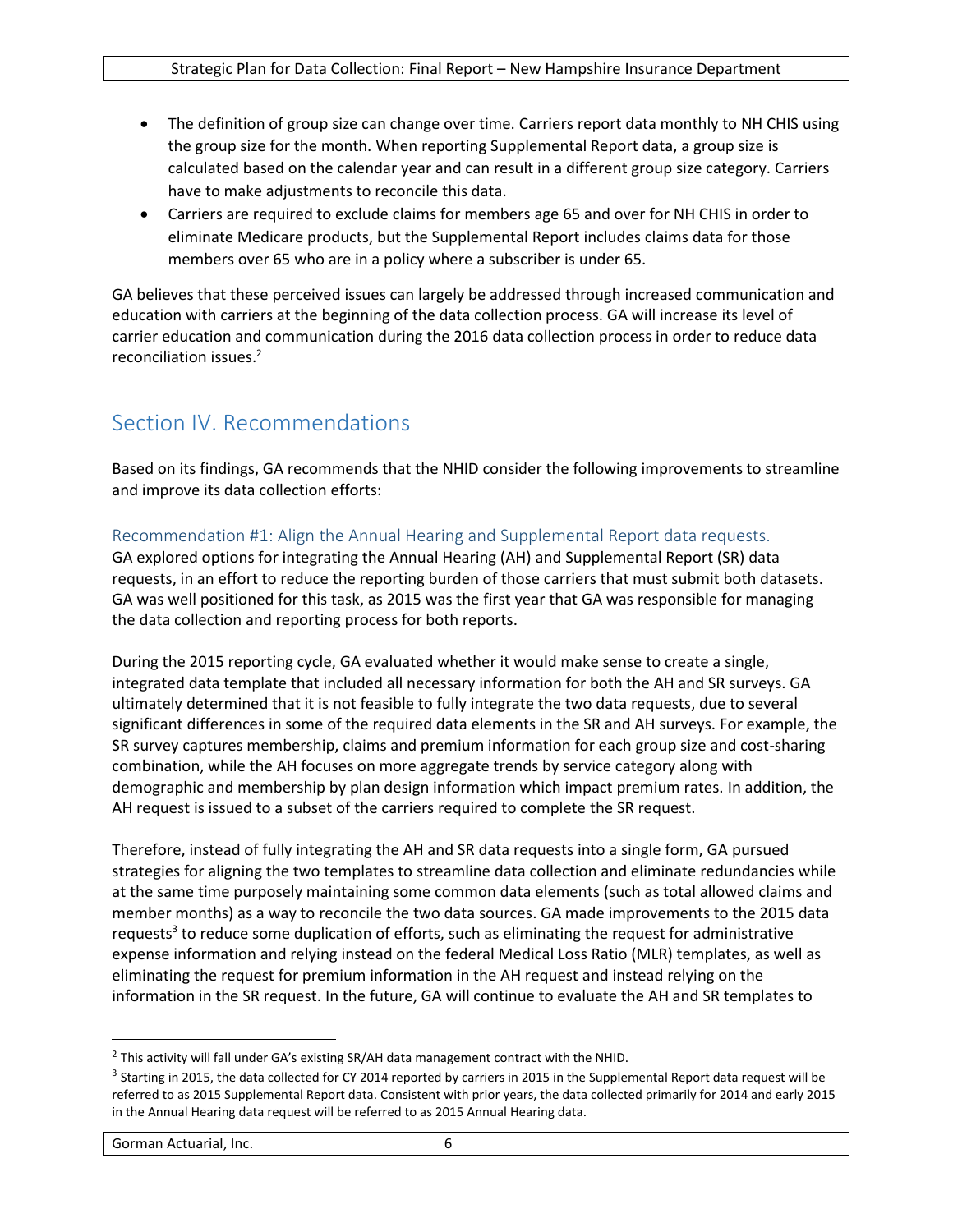- The definition of group size can change over time. Carriers report data monthly to NH CHIS using the group size for the month. When reporting Supplemental Report data, a group size is calculated based on the calendar year and can result in a different group size category. Carriers have to make adjustments to reconcile this data.
- Carriers are required to exclude claims for members age 65 and over for NH CHIS in order to eliminate Medicare products, but the Supplemental Report includes claims data for those members over 65 who are in a policy where a subscriber is under 65.

GA believes that these perceived issues can largely be addressed through increased communication and education with carriers at the beginning of the data collection process. GA will increase its level of carrier education and communication during the 2016 data collection process in order to reduce data reconciliation issues. 2

# Section IV. Recommendations

Based on its findings, GA recommends that the NHID consider the following improvements to streamline and improve its data collection efforts:

#### Recommendation #1: Align the Annual Hearing and Supplemental Report data requests.

GA explored options for integrating the Annual Hearing (AH) and Supplemental Report (SR) data requests, in an effort to reduce the reporting burden of those carriers that must submit both datasets. GA was well positioned for this task, as 2015 was the first year that GA was responsible for managing the data collection and reporting process for both reports.

During the 2015 reporting cycle, GA evaluated whether it would make sense to create a single, integrated data template that included all necessary information for both the AH and SR surveys. GA ultimately determined that it is not feasible to fully integrate the two data requests, due to several significant differences in some of the required data elements in the SR and AH surveys. For example, the SR survey captures membership, claims and premium information for each group size and cost-sharing combination, while the AH focuses on more aggregate trends by service category along with demographic and membership by plan design information which impact premium rates. In addition, the AH request is issued to a subset of the carriers required to complete the SR request.

Therefore, instead of fully integrating the AH and SR data requests into a single form, GA pursued strategies for aligning the two templates to streamline data collection and eliminate redundancies while at the same time purposely maintaining some common data elements (such as total allowed claims and member months) as a way to reconcile the two data sources. GA made improvements to the 2015 data requests<sup>3</sup> to reduce some duplication of efforts, such as eliminating the request for administrative expense information and relying instead on the federal Medical Loss Ratio (MLR) templates, as well as eliminating the request for premium information in the AH request and instead relying on the information in the SR request. In the future, GA will continue to evaluate the AH and SR templates to

 $\overline{\phantom{a}}$ 

<sup>&</sup>lt;sup>2</sup> This activity will fall under GA's existing SR/AH data management contract with the NHID.

<sup>&</sup>lt;sup>3</sup> Starting in 2015, the data collected for CY 2014 reported by carriers in 2015 in the Supplemental Report data request will be referred to as 2015 Supplemental Report data. Consistent with prior years, the data collected primarily for 2014 and early 2015 in the Annual Hearing data request will be referred to as 2015 Annual Hearing data.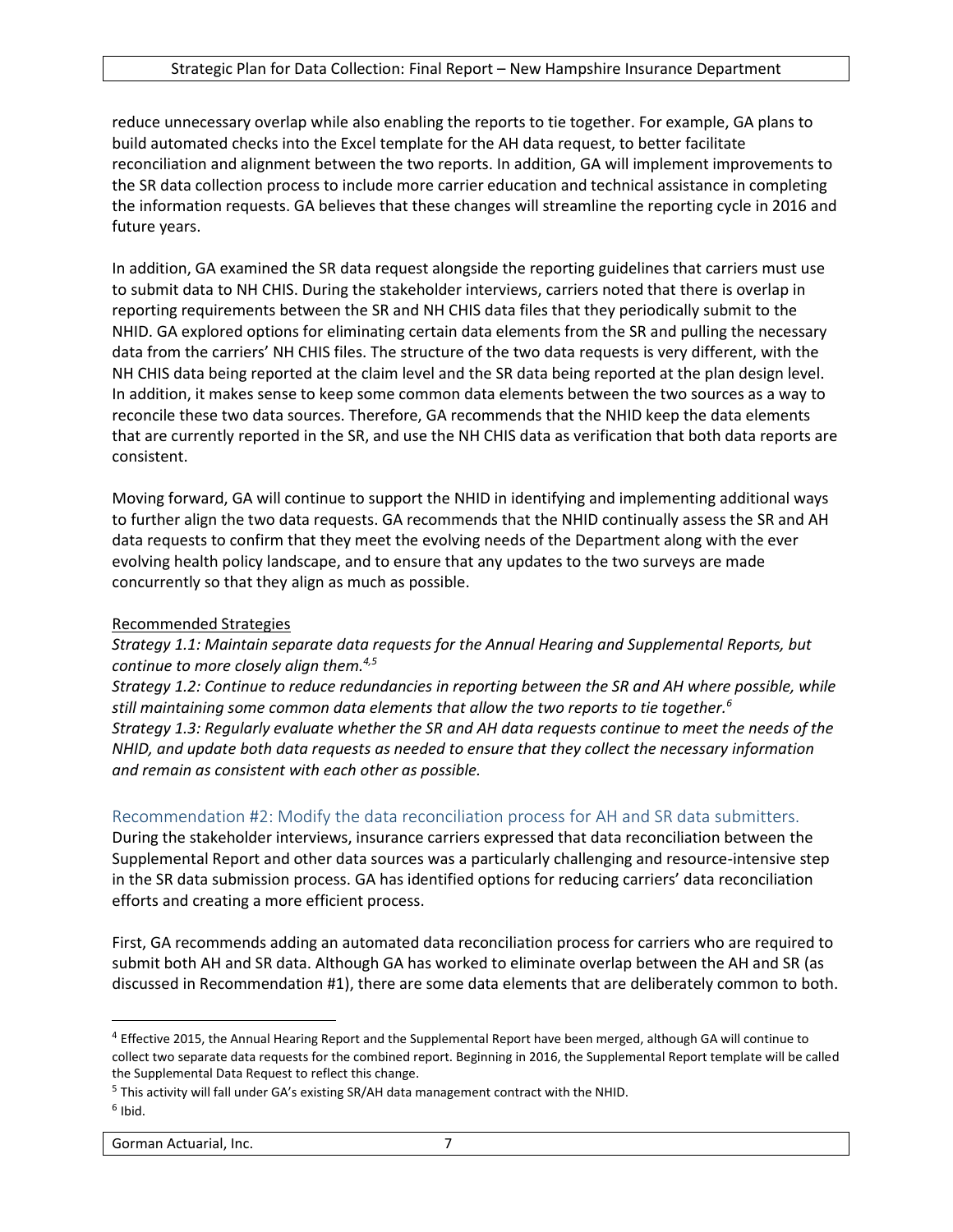reduce unnecessary overlap while also enabling the reports to tie together. For example, GA plans to build automated checks into the Excel template for the AH data request, to better facilitate reconciliation and alignment between the two reports. In addition, GA will implement improvements to the SR data collection process to include more carrier education and technical assistance in completing the information requests. GA believes that these changes will streamline the reporting cycle in 2016 and future years.

In addition, GA examined the SR data request alongside the reporting guidelines that carriers must use to submit data to NH CHIS. During the stakeholder interviews, carriers noted that there is overlap in reporting requirements between the SR and NH CHIS data files that they periodically submit to the NHID. GA explored options for eliminating certain data elements from the SR and pulling the necessary data from the carriers' NH CHIS files. The structure of the two data requests is very different, with the NH CHIS data being reported at the claim level and the SR data being reported at the plan design level. In addition, it makes sense to keep some common data elements between the two sources as a way to reconcile these two data sources. Therefore, GA recommends that the NHID keep the data elements that are currently reported in the SR, and use the NH CHIS data as verification that both data reports are consistent.

Moving forward, GA will continue to support the NHID in identifying and implementing additional ways to further align the two data requests. GA recommends that the NHID continually assess the SR and AH data requests to confirm that they meet the evolving needs of the Department along with the ever evolving health policy landscape, and to ensure that any updates to the two surveys are made concurrently so that they align as much as possible.

#### Recommended Strategies

*Strategy 1.1: Maintain separate data requests for the Annual Hearing and Supplemental Reports, but continue to more closely align them.4,5*

*Strategy 1.2: Continue to reduce redundancies in reporting between the SR and AH where possible, while still maintaining some common data elements that allow the two reports to tie together.<sup>6</sup> Strategy 1.3: Regularly evaluate whether the SR and AH data requests continue to meet the needs of the NHID, and update both data requests as needed to ensure that they collect the necessary information and remain as consistent with each other as possible.*

#### Recommendation #2: Modify the data reconciliation process for AH and SR data submitters.

During the stakeholder interviews, insurance carriers expressed that data reconciliation between the Supplemental Report and other data sources was a particularly challenging and resource-intensive step in the SR data submission process. GA has identified options for reducing carriers' data reconciliation efforts and creating a more efficient process.

First, GA recommends adding an automated data reconciliation process for carriers who are required to submit both AH and SR data. Although GA has worked to eliminate overlap between the AH and SR (as discussed in Recommendation #1), there are some data elements that are deliberately common to both.

 $\overline{a}$ 

<sup>&</sup>lt;sup>4</sup> Effective 2015, the Annual Hearing Report and the Supplemental Report have been merged, although GA will continue to collect two separate data requests for the combined report. Beginning in 2016, the Supplemental Report template will be called the Supplemental Data Request to reflect this change.

<sup>&</sup>lt;sup>5</sup> This activity will fall under GA's existing SR/AH data management contract with the NHID. <sup>6</sup> Ibid.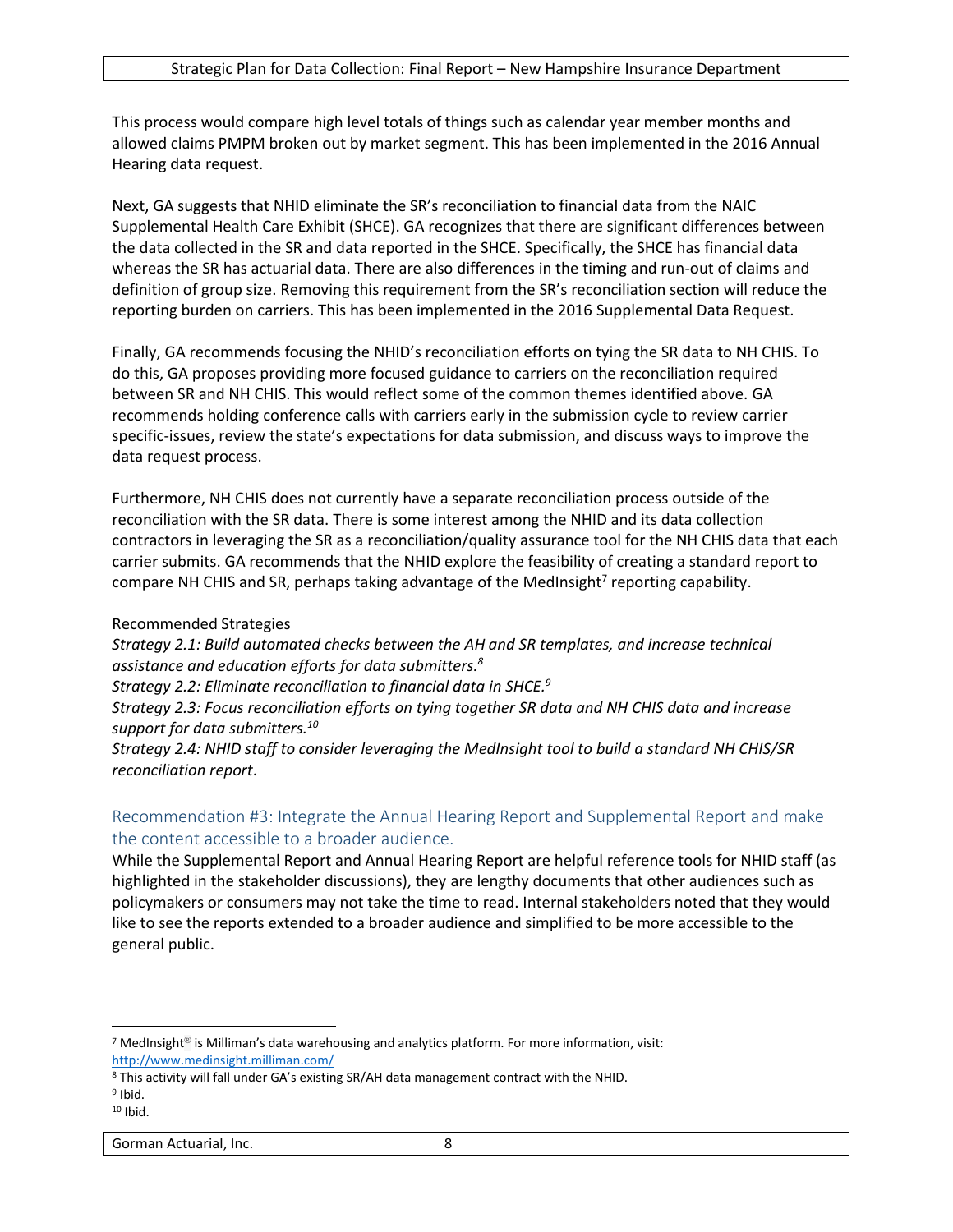This process would compare high level totals of things such as calendar year member months and allowed claims PMPM broken out by market segment. This has been implemented in the 2016 Annual Hearing data request.

Next, GA suggests that NHID eliminate the SR's reconciliation to financial data from the NAIC Supplemental Health Care Exhibit (SHCE). GA recognizes that there are significant differences between the data collected in the SR and data reported in the SHCE. Specifically, the SHCE has financial data whereas the SR has actuarial data. There are also differences in the timing and run-out of claims and definition of group size. Removing this requirement from the SR's reconciliation section will reduce the reporting burden on carriers. This has been implemented in the 2016 Supplemental Data Request.

Finally, GA recommends focusing the NHID's reconciliation efforts on tying the SR data to NH CHIS. To do this, GA proposes providing more focused guidance to carriers on the reconciliation required between SR and NH CHIS. This would reflect some of the common themes identified above. GA recommends holding conference calls with carriers early in the submission cycle to review carrier specific-issues, review the state's expectations for data submission, and discuss ways to improve the data request process.

Furthermore, NH CHIS does not currently have a separate reconciliation process outside of the reconciliation with the SR data. There is some interest among the NHID and its data collection contractors in leveraging the SR as a reconciliation/quality assurance tool for the NH CHIS data that each carrier submits. GA recommends that the NHID explore the feasibility of creating a standard report to compare NH CHIS and SR, perhaps taking advantage of the MedInsight<sup>7</sup> reporting capability.

#### Recommended Strategies

*Strategy 2.1: Build automated checks between the AH and SR templates, and increase technical assistance and education efforts for data submitters.<sup>8</sup>*

*Strategy 2.2: Eliminate reconciliation to financial data in SHCE. 9*

*Strategy 2.3: Focus reconciliation efforts on tying together SR data and NH CHIS data and increase support for data submitters. 10*

*Strategy 2.4: NHID staff to consider leveraging the MedInsight tool to build a standard NH CHIS/SR reconciliation report*.

#### Recommendation #3: Integrate the Annual Hearing Report and Supplemental Report and make the content accessible to a broader audience.

While the Supplemental Report and Annual Hearing Report are helpful reference tools for NHID staff (as highlighted in the stakeholder discussions), they are lengthy documents that other audiences such as policymakers or consumers may not take the time to read. Internal stakeholders noted that they would like to see the reports extended to a broader audience and simplified to be more accessible to the general public.

 $\overline{\phantom{a}}$ 

<sup>7</sup> MedInsight® is Milliman's data warehousing and analytics platform. For more information, visit: <http://www.medinsight.milliman.com/>

<sup>8</sup> This activity will fall under GA's existing SR/AH data management contract with the NHID.

<sup>&</sup>lt;sup>9</sup> Ibid.

 $10$  Ibid.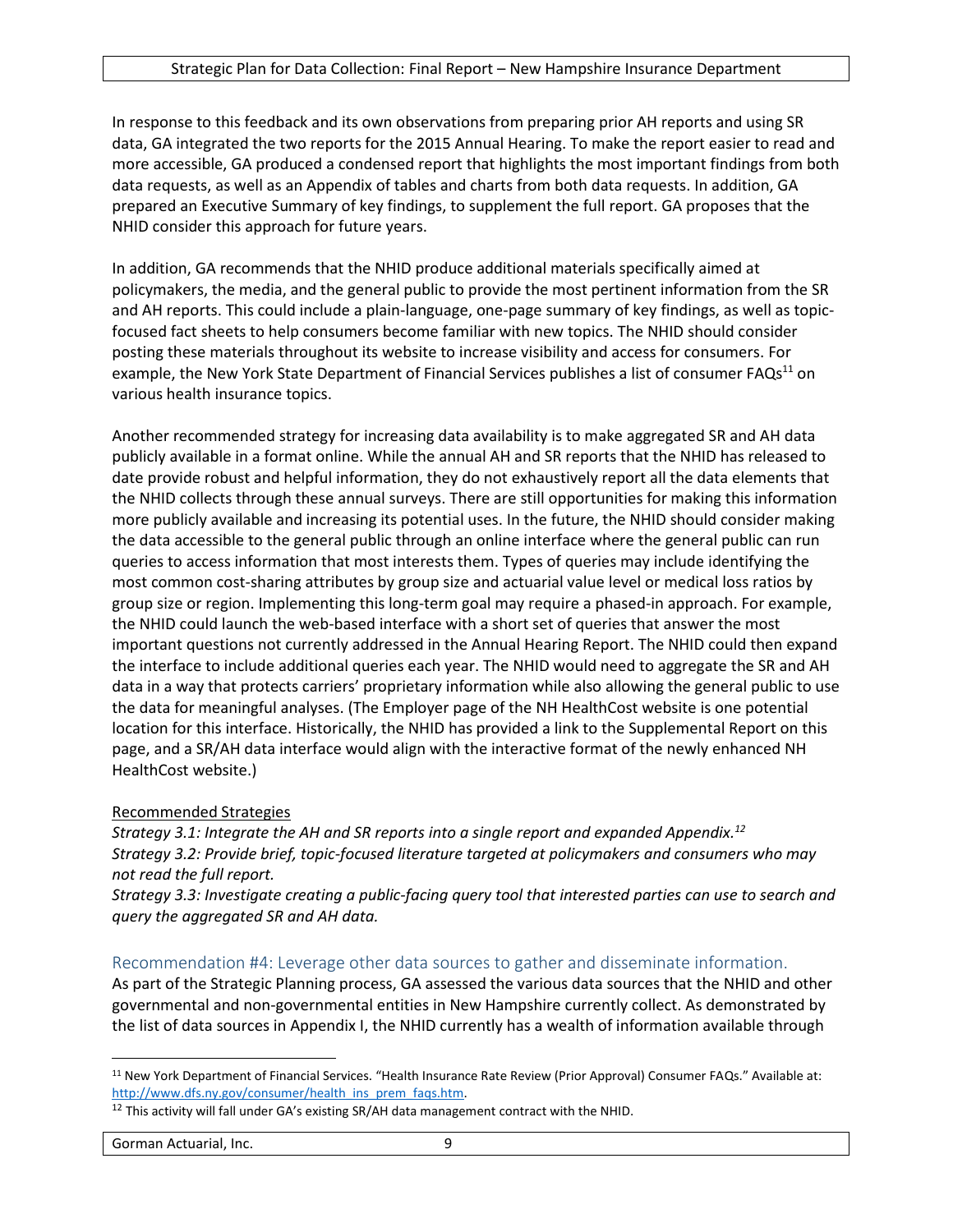In response to this feedback and its own observations from preparing prior AH reports and using SR data, GA integrated the two reports for the 2015 Annual Hearing. To make the report easier to read and more accessible, GA produced a condensed report that highlights the most important findings from both data requests, as well as an Appendix of tables and charts from both data requests. In addition, GA prepared an Executive Summary of key findings, to supplement the full report. GA proposes that the NHID consider this approach for future years.

In addition, GA recommends that the NHID produce additional materials specifically aimed at policymakers, the media, and the general public to provide the most pertinent information from the SR and AH reports. This could include a plain-language, one-page summary of key findings, as well as topicfocused fact sheets to help consumers become familiar with new topics. The NHID should consider posting these materials throughout its website to increase visibility and access for consumers. For example, the New York State Department of Financial Services publishes a list of consumer FAQs<sup>11</sup> on various health insurance topics.

Another recommended strategy for increasing data availability is to make aggregated SR and AH data publicly available in a format online. While the annual AH and SR reports that the NHID has released to date provide robust and helpful information, they do not exhaustively report all the data elements that the NHID collects through these annual surveys. There are still opportunities for making this information more publicly available and increasing its potential uses. In the future, the NHID should consider making the data accessible to the general public through an online interface where the general public can run queries to access information that most interests them. Types of queries may include identifying the most common cost-sharing attributes by group size and actuarial value level or medical loss ratios by group size or region. Implementing this long-term goal may require a phased-in approach. For example, the NHID could launch the web-based interface with a short set of queries that answer the most important questions not currently addressed in the Annual Hearing Report. The NHID could then expand the interface to include additional queries each year. The NHID would need to aggregate the SR and AH data in a way that protects carriers' proprietary information while also allowing the general public to use the data for meaningful analyses. (The Employer page of the NH HealthCost website is one potential location for this interface. Historically, the NHID has provided a link to the Supplemental Report on this page, and a SR/AH data interface would align with the interactive format of the newly enhanced NH HealthCost website.)

#### Recommended Strategies

*Strategy 3.1: Integrate the AH and SR reports into a single report and expanded Appendix.<sup>12</sup> Strategy 3.2: Provide brief, topic-focused literature targeted at policymakers and consumers who may not read the full report.*

*Strategy 3.3: Investigate creating a public-facing query tool that interested parties can use to search and query the aggregated SR and AH data.*

#### Recommendation #4: Leverage other data sources to gather and disseminate information.

As part of the Strategic Planning process, GA assessed the various data sources that the NHID and other governmental and non-governmental entities in New Hampshire currently collect. As demonstrated by the list of data sources in Appendix I, the NHID currently has a wealth of information available through

Gorman Actuarial, Inc. 9

 $\overline{a}$ 

<sup>11</sup> New York Department of Financial Services. "Health Insurance Rate Review (Prior Approval) Consumer FAQs." Available at: [http://www.dfs.ny.gov/consumer/health\\_ins\\_prem\\_faqs.htm.](http://www.dfs.ny.gov/consumer/health_ins_prem_faqs.htm)

<sup>&</sup>lt;sup>12</sup> This activity will fall under GA's existing SR/AH data management contract with the NHID.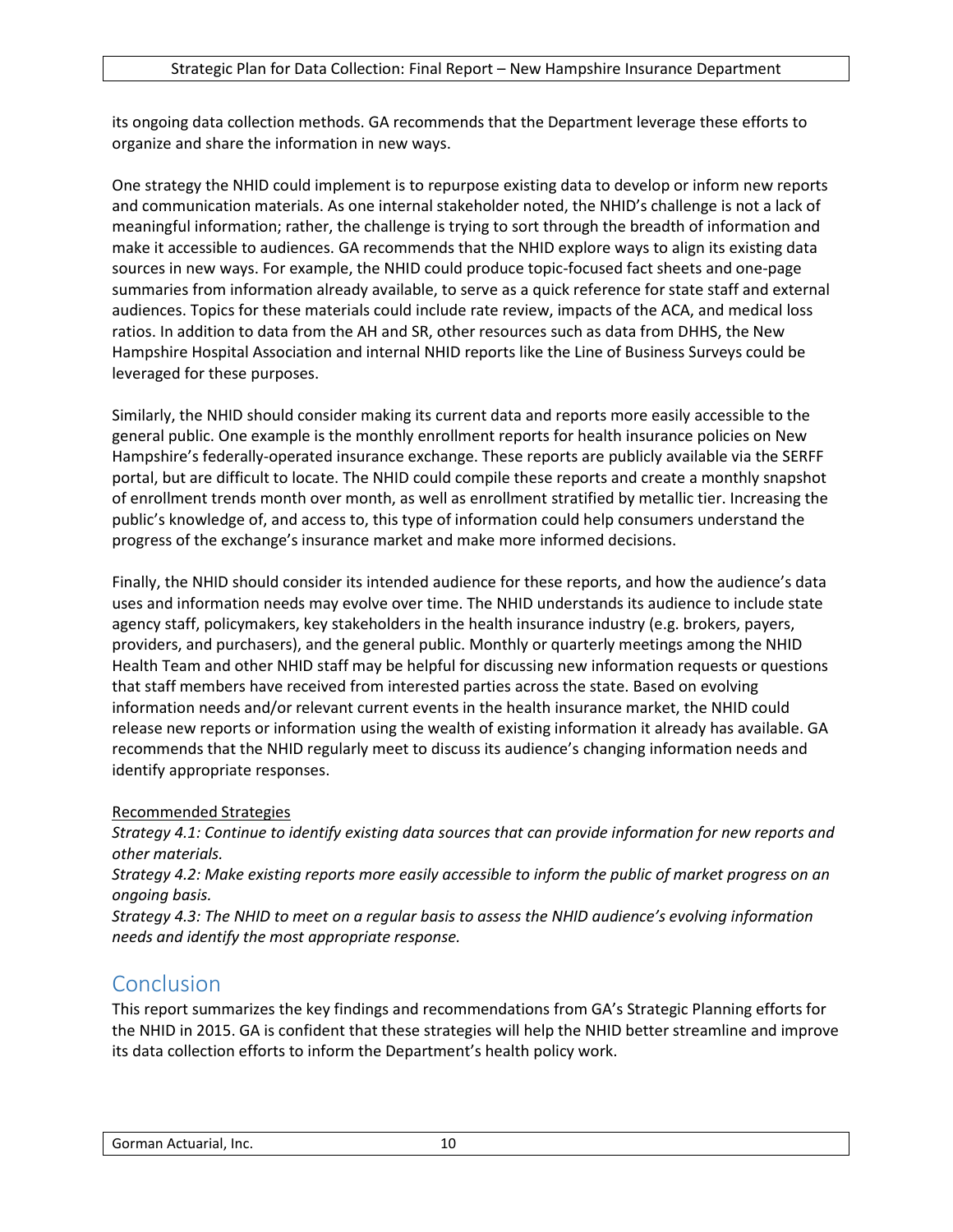its ongoing data collection methods. GA recommends that the Department leverage these efforts to organize and share the information in new ways.

One strategy the NHID could implement is to repurpose existing data to develop or inform new reports and communication materials. As one internal stakeholder noted, the NHID's challenge is not a lack of meaningful information; rather, the challenge is trying to sort through the breadth of information and make it accessible to audiences. GA recommends that the NHID explore ways to align its existing data sources in new ways. For example, the NHID could produce topic-focused fact sheets and one-page summaries from information already available, to serve as a quick reference for state staff and external audiences. Topics for these materials could include rate review, impacts of the ACA, and medical loss ratios. In addition to data from the AH and SR, other resources such as data from DHHS, the New Hampshire Hospital Association and internal NHID reports like the Line of Business Surveys could be leveraged for these purposes.

Similarly, the NHID should consider making its current data and reports more easily accessible to the general public. One example is the monthly enrollment reports for health insurance policies on New Hampshire's federally-operated insurance exchange. These reports are publicly available via the SERFF portal, but are difficult to locate. The NHID could compile these reports and create a monthly snapshot of enrollment trends month over month, as well as enrollment stratified by metallic tier. Increasing the public's knowledge of, and access to, this type of information could help consumers understand the progress of the exchange's insurance market and make more informed decisions.

Finally, the NHID should consider its intended audience for these reports, and how the audience's data uses and information needs may evolve over time. The NHID understands its audience to include state agency staff, policymakers, key stakeholders in the health insurance industry (e.g. brokers, payers, providers, and purchasers), and the general public. Monthly or quarterly meetings among the NHID Health Team and other NHID staff may be helpful for discussing new information requests or questions that staff members have received from interested parties across the state. Based on evolving information needs and/or relevant current events in the health insurance market, the NHID could release new reports or information using the wealth of existing information it already has available. GA recommends that the NHID regularly meet to discuss its audience's changing information needs and identify appropriate responses.

#### Recommended Strategies

*Strategy 4.1: Continue to identify existing data sources that can provide information for new reports and other materials.*

*Strategy 4.2: Make existing reports more easily accessible to inform the public of market progress on an ongoing basis.*

*Strategy 4.3: The NHID to meet on a regular basis to assess the NHID audience's evolving information needs and identify the most appropriate response.*

### Conclusion

This report summarizes the key findings and recommendations from GA's Strategic Planning efforts for the NHID in 2015. GA is confident that these strategies will help the NHID better streamline and improve its data collection efforts to inform the Department's health policy work.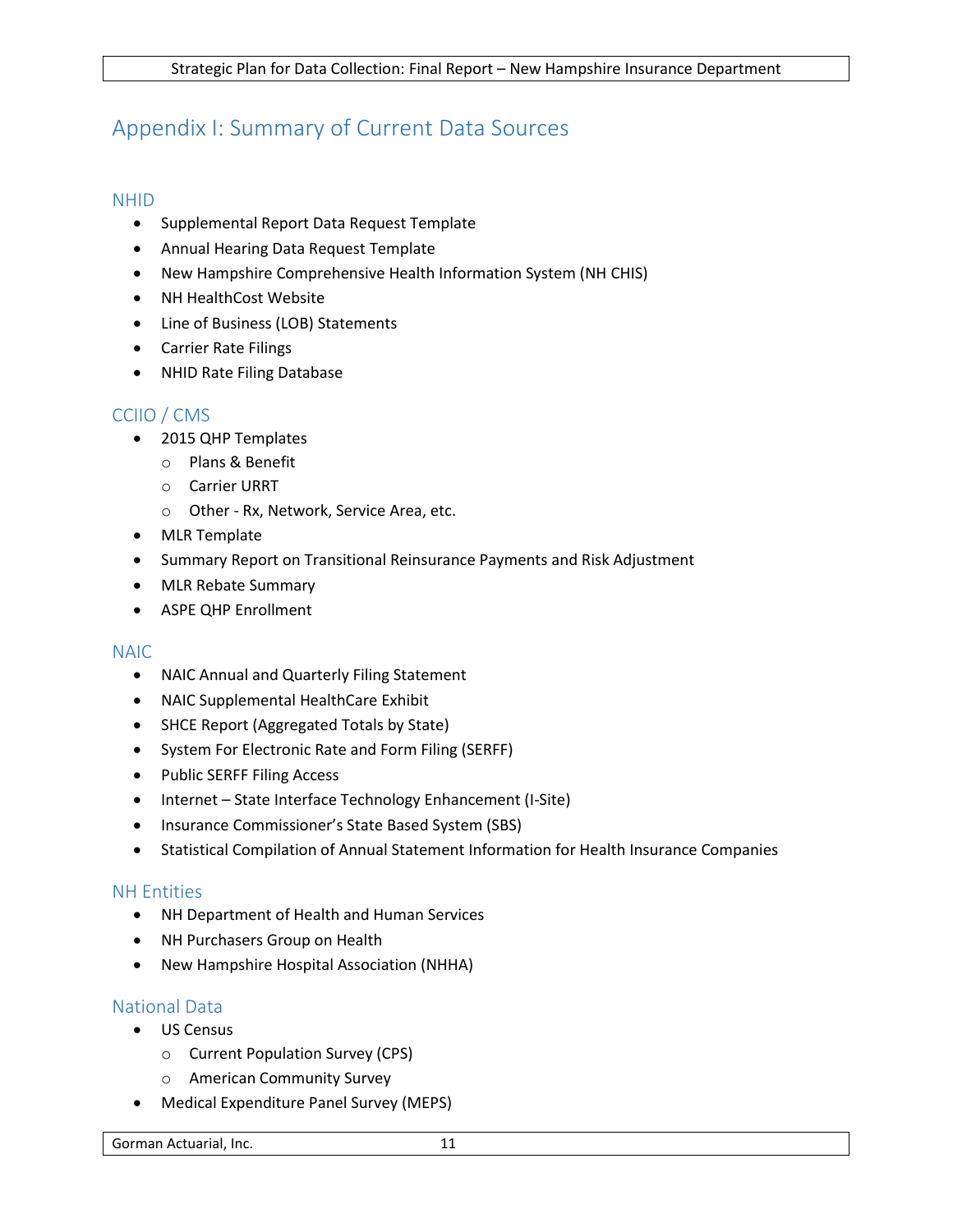## Appendix I: Summary of Current Data Sources

#### NHID

- Supplemental Report Data Request Template
- Annual Hearing Data Request Template
- New Hampshire Comprehensive Health Information System (NH CHIS)
- NH HealthCost Website
- Line of Business (LOB) Statements
- Carrier Rate Filings
- NHID Rate Filing Database

### CCIIO / CMS

- 2015 QHP Templates
	- o Plans & Benefit
	- o Carrier URRT
	- o Other Rx, Network, Service Area, etc.
- MLR Template
- Summary Report on Transitional Reinsurance Payments and Risk Adjustment
- MLR Rebate Summary
- ASPE QHP Enrollment

#### NAIC

- NAIC Annual and Quarterly Filing Statement
- NAIC Supplemental HealthCare Exhibit
- SHCE Report (Aggregated Totals by State)
- System For Electronic Rate and Form Filing (SERFF)
- Public SERFF Filing Access
- Internet State Interface Technology Enhancement (I-Site)
- Insurance Commissioner's State Based System (SBS)
- Statistical Compilation of Annual Statement Information for Health Insurance Companies

### NH Entities

- NH Department of Health and Human Services
- NH Purchasers Group on Health
- New Hampshire Hospital Association (NHHA)

### National Data

- US Census
	- o Current Population Survey (CPS)
	- o American Community Survey
- Medical Expenditure Panel Survey (MEPS)